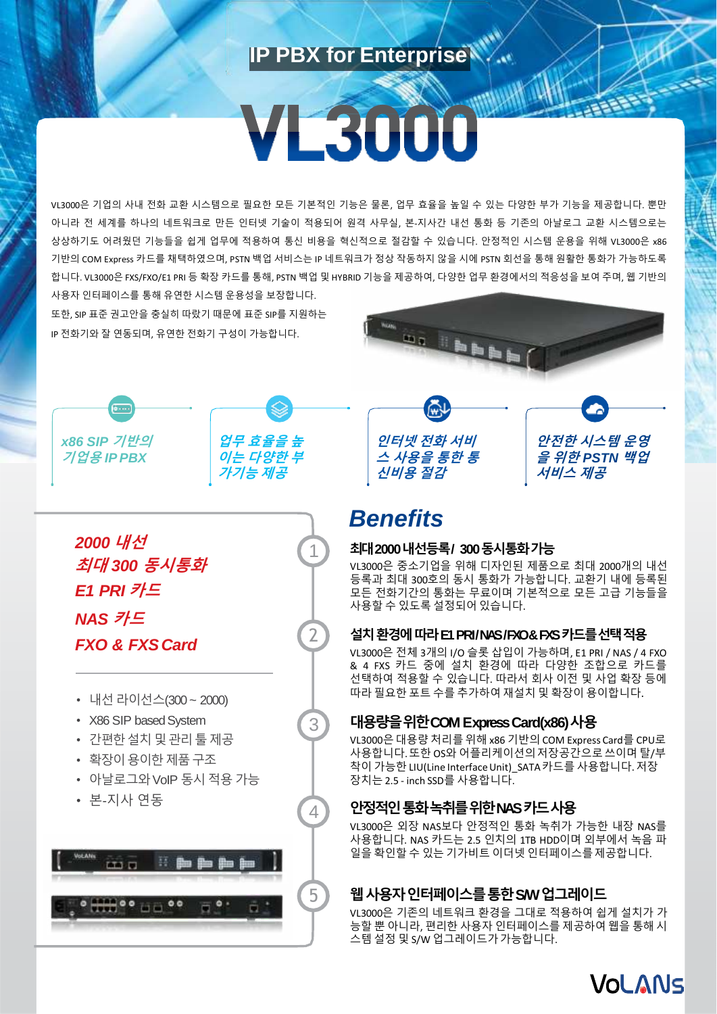# **IP PBX for Enterprise**

# VE3000

VL3000은 기업의 사내 전화 교환 시스템으로 필요한 모든 기본적인 기능은 물론, 업무 효율을 높일 수 있는 다양한 부가 기능을 제공합니다. 뿐만 아니라 전 세계를 하나의 네트워크로 만든 인터넷 기술이 적용되어 원격 사무실, 본-지사간 내선 통화 등 기존의 아날로그 교환 시스템으로는 상상하기도 어려웠던 기능들을 쉽게 업무에 적용하여 통신 비용을 혁신적으로 절감할 수 있습니다. 안정적인 시스템 운용을 위해 VL3000은 x86 기반의 COM Express 카드를 채택하였으며, PSTN 백업 서비스는 IP 네트워크가 정상 작동하지 않을 시에 PSTN 회선을 통해 원활한 통화가 가능하도록 합니다. VL3000은 FXS/FXO/E1 PRI 등 확장 카드를 통해, PSTN 백업 및 HYBRID 기능을 제공하여, 다양한 업무 환경에서의 적응성을 보여 주며, 웹 기반의 사용자 인터페이스를 통해 유연한 시스템 운용성을 보장합니다.

또한, SIP 표준 권고안을 충실히 따랐기 때문에 표준 SIP를 지원하는 IP 전화기와 잘 연동되며, 유연한 전화기 구성이 가능합니다.



 $\mathbf{A}$ 





1

2

3

4

*2000* **내선 최대** *300* **동시통화** *E1 PRI* **카드** *NAS* **카드** *FXO & FXSCard*

- 내선라이선스(300 ~ 2000)
- X86 SIP based System
- 간편한설치및관리툴제공
- 확장이용이한제품구조
- 아날로그와VoIP 동시 적용 가능
- 본-지사 연동







# *Benefits*

## **최대2000 내선등록/ 300 동시통화가능**

VL3000은 중소기업을 위해 디자인된 제품으로 최대 2000개의 내선 등록과 최대 300호의 동시 통화가 가능합니다. 교환기 내에 등록된 모든 전화기간의 통화는 무료이며 기본적으로 모든 고급 기능들을 사용할 수 있도록 설정되어있습니다.

### **설치환경에따라E1 PRI/ NAS / FXO & FXS 카드를선택적용**

VL3000은 전체 3개의 I/O 슬롯 삽입이 가능하며, E1 PRI / NAS / 4 FXO & 4 FXS 카드 중에 설치 환경에 따라 다양한 조합으로 카드를 선택하여 적용할 수 있습니다. 따라서 회사 이전 및 사업 확장 등에 따라 필요한 포트 수를 추가하여재설치 및 확장이 용이합니다.

## **대용량을위한COM Express Card(x86)사용**

VL3000은대용량 처리를위해 x86 기반의 COM Express Card를 CPU로 사용합니다.또한 OS와 어플리케이션의저장공간으로쓰이며 탈/부 착이 가능한 LIU(Line Interface Unit)\_SATA 카드를 사용합니다.저장 장치는 2.5 - inch SSD를 사용합니다.

# **안정적인통화녹취를위한NAS 카드사용**

VL3000은 외장 NAS보다 안정적인 통화 녹취가 가능한 내장 NAS를 사용합니다. NAS 카드는 2.5 인치의 1TB HDD이며 외부에서 녹음 파 일을 확인할 수 있는 기가비트 이더넷 인터페이스를제공합니다.

# **웹사용자인터페이스를통한S/W 업그레이드**

VL3000은 기존의 네트워크 환경을 그대로 적용하여 쉽게 설치가 가 능할 뿐 아니라, 편리한 사용자 인터페이스를 제공하여 웹을 통해 시 스템 설정 및 S/W 업그레이드가가능합니다.